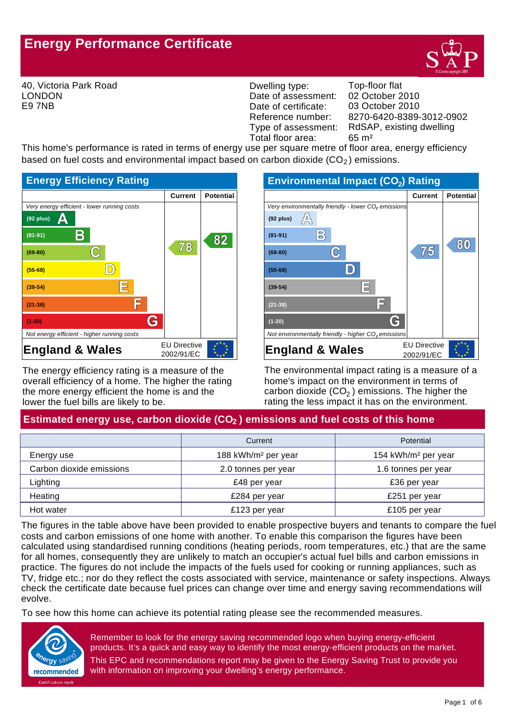# **Energy Performance Certificate**



40, Victoria Park Road LONDON E9 7NB

Dwelling type: Top-floor flat Date of assessment: Date of certificate: Reference number:<br>Type of assessment: Total floor area: 65 m<sup>2</sup>

8270-6420-8389-3012-0902 03 October 2010 02 October 2010 RdSAP, existing dwelling

This home's performance is rated in terms of energy use per square metre of floor area, energy efficiency based on fuel costs and environmental impact based on carbon dioxide  $(CO<sub>2</sub>)$  emissions.



The energy efficiency rating is a measure of the overall efficiency of a home. The higher the rating the more energy efficient the home is and the lower the fuel bills are likely to be.



The environmental impact rating is a measure of a home's impact on the environment in terms of carbon dioxide (CO $_2$  ) emissions. The higher the rating the less impact it has on the environment.

# Estimated energy use, carbon dioxide (CO<sub>2</sub>) emissions and fuel costs of this home

|                          | Current                         | Potential                       |
|--------------------------|---------------------------------|---------------------------------|
| Energy use               | 188 kWh/m <sup>2</sup> per year | 154 kWh/m <sup>2</sup> per year |
| Carbon dioxide emissions | 2.0 tonnes per year             | 1.6 tonnes per year             |
| Lighting                 | £48 per year                    | £36 per year                    |
| Heating                  | £284 per year                   | £251 per year                   |
| Hot water                | £123 per year                   | £105 per year                   |

The figures in the table above have been provided to enable prospective buyers and tenants to compare the fuel costs and carbon emissions of one home with another. To enable this comparison the figures have been calculated using standardised running conditions (heating periods, room temperatures, etc.) that are the same for all homes, consequently they are unlikely to match an occupier's actual fuel bills and carbon emissions in practice. The figures do not include the impacts of the fuels used for cooking or running appliances, such as TV, fridge etc.; nor do they reflect the costs associated with service, maintenance or safety inspections. Always check the certificate date because fuel prices can change over time and energy saving recommendations will evolve.

To see how this home can achieve its potential rating please see the recommended measures.



Remember to look for the energy saving recommended logo when buying energy-efficient products. It's a quick and easy way to identify the most energy-efficient products on the market. This EPC and recommendations report may be given to the Energy Saving Trust to provide you with information on improving your dwelling's energy performance.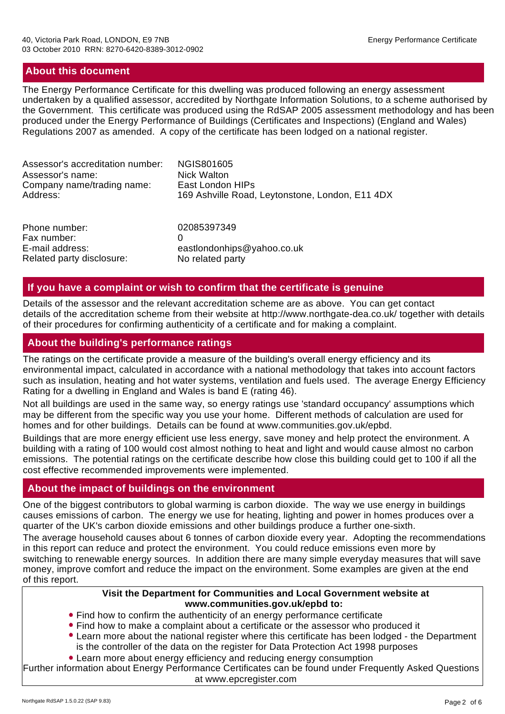## **About this document**

The Energy Performance Certificate for this dwelling was produced following an energy assessment undertaken by a qualified assessor, accredited by Northgate Information Solutions, to a scheme authorised by the Government. This certificate was produced using the RdSAP 2005 assessment methodology and has been produced under the Energy Performance of Buildings (Certificates and Inspections) (England and Wales) Regulations 2007 as amended. A copy of the certificate has been lodged on a national register.

| Assessor's accreditation number: | NGIS801605                                      |
|----------------------------------|-------------------------------------------------|
| Assessor's name:                 | <b>Nick Walton</b>                              |
| Company name/trading name:       | East London HIPs                                |
| Address:                         | 169 Ashville Road, Leytonstone, London, E11 4DX |
| Phone number:                    | 02085397349                                     |
| Fax number:                      | 0                                               |
| E-mail address:                  | eastlondonhips@yahoo.co.uk                      |

### **If you have a complaint or wish to confirm that the certificate is genuine**

Details of the assessor and the relevant accreditation scheme are as above. You can get contact details of the accreditation scheme from their website at http://www.northgate-dea.co.uk/ together with details of their procedures for confirming authenticity of a certificate and for making a complaint.

# **About the building's performance ratings**

Related party disclosure: No related party

The ratings on the certificate provide a measure of the building's overall energy efficiency and its environmental impact, calculated in accordance with a national methodology that takes into account factors such as insulation, heating and hot water systems, ventilation and fuels used. The average Energy Efficiency Rating for a dwelling in England and Wales is band E (rating 46).

Not all buildings are used in the same way, so energy ratings use 'standard occupancy' assumptions which may be different from the specific way you use your home. Different methods of calculation are used for homes and for other buildings. Details can be found at www.communities.gov.uk/epbd.

Buildings that are more energy efficient use less energy, save money and help protect the environment. A building with a rating of 100 would cost almost nothing to heat and light and would cause almost no carbon emissions. The potential ratings on the certificate describe how close this building could get to 100 if all the cost effective recommended improvements were implemented.

### **About the impact of buildings on the environment**

One of the biggest contributors to global warming is carbon dioxide. The way we use energy in buildings causes emissions of carbon. The energy we use for heating, lighting and power in homes produces over a quarter of the UK's carbon dioxide emissions and other buildings produce a further one-sixth.

The average household causes about 6 tonnes of carbon dioxide every year. Adopting the recommendations in this report can reduce and protect the environment. You could reduce emissions even more by switching to renewable energy sources. In addition there are many simple everyday measures that will save money, improve comfort and reduce the impact on the environment. Some examples are given at the end of this report.

#### **Visit the Department for Communities and Local Government website at www.communities.gov.uk/epbd to:**

- Find how to confirm the authenticity of an energy performance certificate
- Find how to make a complaint about a certificate or the assessor who produced it
- Learn more about the national register where this certificate has been lodged the Department is the controller of the data on the register for Data Protection Act 1998 purposes
- Learn more about energy efficiency and reducing energy consumption

Further information about Energy Performance Certificates can be found under Frequently Asked Questions at www.epcregister.com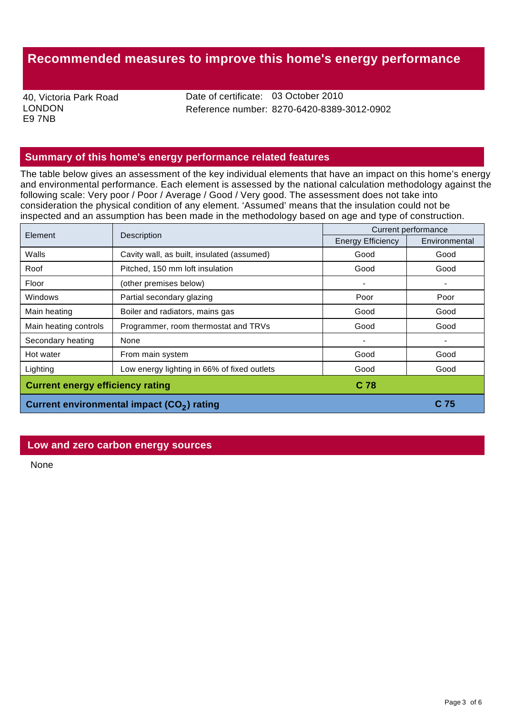# **Recommended measures to improve this home's energy performance**

40, Victoria Park Road LONDON E9 7NB

Date of certificate: 03 October 2010 Reference number: 8270-6420-8389-3012-0902

# **Summary of this home's energy performance related features**

The table below gives an assessment of the key individual elements that have an impact on this home's energy and environmental performance. Each element is assessed by the national calculation methodology against the following scale: Very poor / Poor / Average / Good / Very good. The assessment does not take into consideration the physical condition of any element. 'Assumed' means that the insulation could not be inspected and an assumption has been made in the methodology based on age and type of construction.

| Element                                                | Description                                 | Current performance      |               |
|--------------------------------------------------------|---------------------------------------------|--------------------------|---------------|
|                                                        |                                             | <b>Energy Efficiency</b> | Environmental |
| Walls                                                  | Cavity wall, as built, insulated (assumed)  | Good                     | Good          |
| Roof                                                   | Pitched, 150 mm loft insulation             | Good                     | Good          |
| Floor                                                  | (other premises below)                      |                          |               |
| Windows                                                | Partial secondary glazing                   | Poor                     | Poor          |
| Main heating                                           | Boiler and radiators, mains gas             | Good                     | Good          |
| Main heating controls                                  | Programmer, room thermostat and TRVs        | Good                     | Good          |
| Secondary heating                                      | None                                        |                          |               |
| Hot water                                              | From main system                            | Good                     | Good          |
| Lighting                                               | Low energy lighting in 66% of fixed outlets | Good                     | Good          |
| <b>Current energy efficiency rating</b><br>C 78        |                                             |                          |               |
| Current environmental impact (CO <sub>2</sub> ) rating |                                             | C 75                     |               |

#### **Low and zero carbon energy sources**

None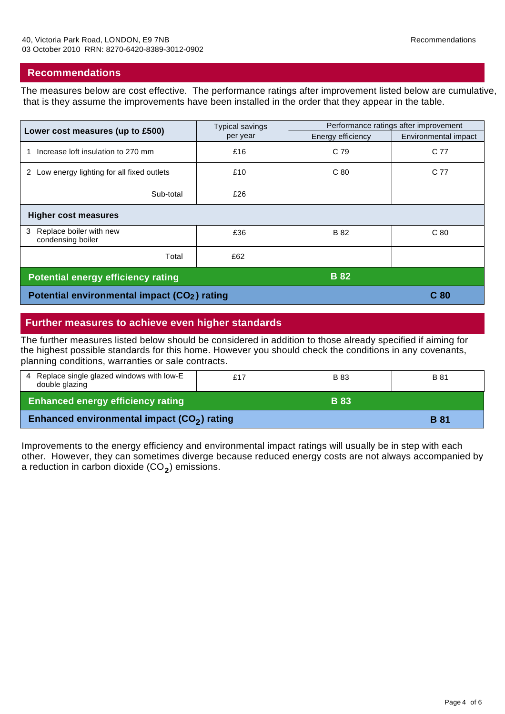#### **Recommendations**

The measures below are cost effective. The performance ratings after improvement listed below are cumulative, that is they assume the improvements have been installed in the order that they appear in the table.

| Lower cost measures (up to £500)                         | <b>Typical savings</b><br>per year | Performance ratings after improvement |                      |  |
|----------------------------------------------------------|------------------------------------|---------------------------------------|----------------------|--|
|                                                          |                                    | Energy efficiency                     | Environmental impact |  |
| Increase loft insulation to 270 mm                       | £16                                | C 79                                  | C 77                 |  |
| 2 Low energy lighting for all fixed outlets              | £10                                | C <sub>80</sub>                       | C 77                 |  |
| Sub-total                                                | £26                                |                                       |                      |  |
| <b>Higher cost measures</b>                              |                                    |                                       |                      |  |
| Replace boiler with new<br>3<br>condensing boiler        | £36                                | <b>B</b> 82                           | C <sub>80</sub>      |  |
| Total                                                    | £62                                |                                       |                      |  |
| <b>B</b> 82<br><b>Potential energy efficiency rating</b> |                                    |                                       |                      |  |
| Potential environmental impact (CO <sub>2</sub> ) rating |                                    |                                       | C <sub>80</sub>      |  |

## **Further measures to achieve even higher standards**

The further measures listed below should be considered in addition to those already specified if aiming for the highest possible standards for this home. However you should check the conditions in any covenants, planning conditions, warranties or sale contracts.

| 4 Replace single glazed windows with low-E<br>double glazing | £17 | <b>B</b> 83 | <b>B</b> 81 |
|--------------------------------------------------------------|-----|-------------|-------------|
| <b>Enhanced energy efficiency rating</b>                     |     | <b>B</b> 83 |             |
| Enhanced environmental impact (CO <sub>2</sub> ) rating      |     |             | <b>B</b> 81 |

Improvements to the energy efficiency and environmental impact ratings will usually be in step with each other. However, they can sometimes diverge because reduced energy costs are not always accompanied by a reduction in carbon dioxide (CO<sub>2</sub>) emissions.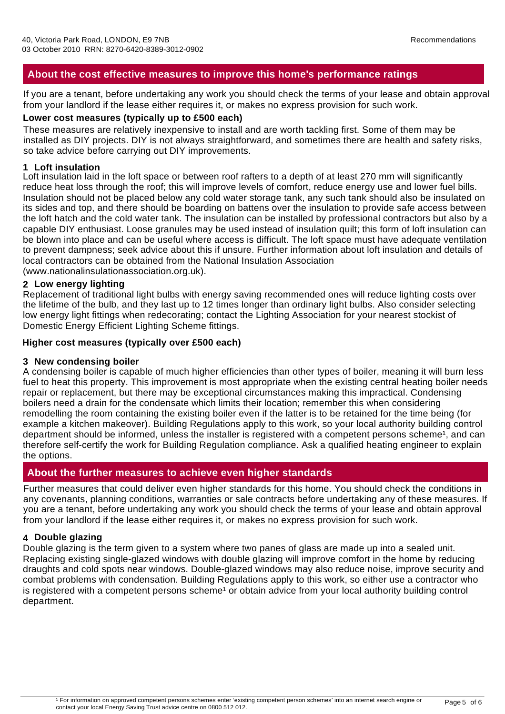# **About the cost effective measures to improve this home's performance ratings**

If you are a tenant, before undertaking any work you should check the terms of your lease and obtain approval from your landlord if the lease either requires it, or makes no express provision for such work.

#### **Lower cost measures (typically up to £500 each)**

These measures are relatively inexpensive to install and are worth tackling first. Some of them may be installed as DIY projects. DIY is not always straightforward, and sometimes there are health and safety risks, so take advice before carrying out DIY improvements.

#### **1 Loft insulation**

Loft insulation laid in the loft space or between roof rafters to a depth of at least 270 mm will significantly reduce heat loss through the roof; this will improve levels of comfort, reduce energy use and lower fuel bills. Insulation should not be placed below any cold water storage tank, any such tank should also be insulated on its sides and top, and there should be boarding on battens over the insulation to provide safe access between the loft hatch and the cold water tank. The insulation can be installed by professional contractors but also by a capable DIY enthusiast. Loose granules may be used instead of insulation quilt; this form of loft insulation can be blown into place and can be useful where access is difficult. The loft space must have adequate ventilation to prevent dampness; seek advice about this if unsure. Further information about loft insulation and details of local contractors can be obtained from the National Insulation Association (www.nationalinsulationassociation.org.uk).

#### **2 Low energy lighting**

Replacement of traditional light bulbs with energy saving recommended ones will reduce lighting costs over the lifetime of the bulb, and they last up to 12 times longer than ordinary light bulbs. Also consider selecting low energy light fittings when redecorating; contact the Lighting Association for your nearest stockist of Domestic Energy Efficient Lighting Scheme fittings.

### **Higher cost measures (typically over £500 each)**

#### **3 New condensing boiler**

A condensing boiler is capable of much higher efficiencies than other types of boiler, meaning it will burn less fuel to heat this property. This improvement is most appropriate when the existing central heating boiler needs repair or replacement, but there may be exceptional circumstances making this impractical. Condensing boilers need a drain for the condensate which limits their location; remember this when considering remodelling the room containing the existing boiler even if the latter is to be retained for the time being (for example a kitchen makeover). Building Regulations apply to this work, so your local authority building control department should be informed, unless the installer is registered with a competent persons scheme<sup>1</sup>, and can therefore self-certify the work for Building Regulation compliance. Ask a qualified heating engineer to explain the options.

# **About the further measures to achieve even higher standards**

Further measures that could deliver even higher standards for this home. You should check the conditions in any covenants, planning conditions, warranties or sale contracts before undertaking any of these measures. If you are a tenant, before undertaking any work you should check the terms of your lease and obtain approval from your landlord if the lease either requires it, or makes no express provision for such work.

### **4 Double glazing**

Double glazing is the term given to a system where two panes of glass are made up into a sealed unit. Replacing existing single-glazed windows with double glazing will improve comfort in the home by reducing draughts and cold spots near windows. Double-glazed windows may also reduce noise, improve security and combat problems with condensation. Building Regulations apply to this work, so either use a contractor who is registered with a competent persons scheme<sup>1</sup> or obtain advice from your local authority building control department.